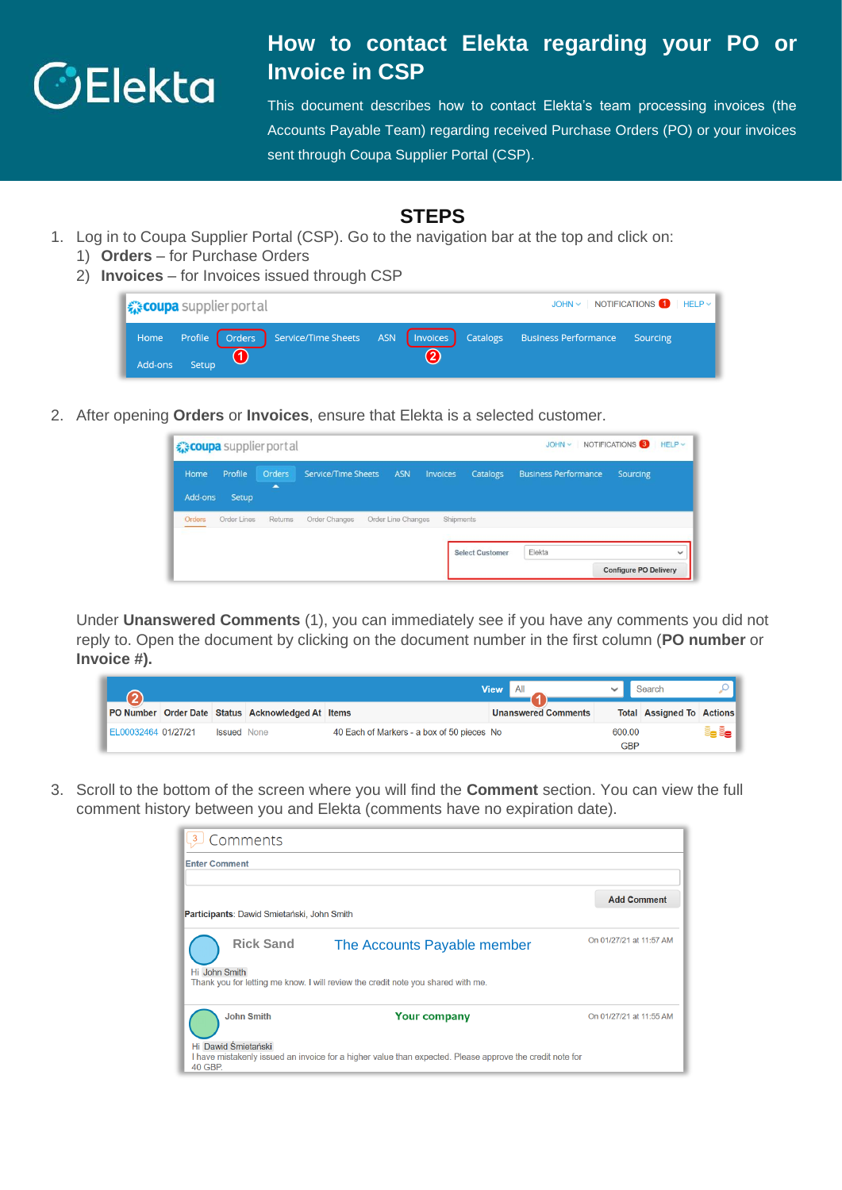

## **How to contact Elekta regarding your PO or Invoice in CSP**

This document describes how to contact Elekta's team processing invoices (the Accounts Payable Team) regarding received Purchase Orders (PO) or your invoices sent through Coupa Supplier Portal (CSP).

## **STEPS**

- 1. Log in to Coupa Supplier Portal (CSP). Go to the navigation bar at the top and click on:
	- 1) **Orders** for Purchase Orders
	- 2) **Invoices** for Invoices issued through CSP

| JOHN $\vee$ NOTIFICATIONS $\bigoplus$ HELP $\vee$<br>■ ☆ coupa supplier port al                              |  |  |  |  |  |  |  |  |
|--------------------------------------------------------------------------------------------------------------|--|--|--|--|--|--|--|--|
| Home Profile Orders Service/Time Sheets ASN Invoices Catalogs Business Performance Sourcing<br>Add-ons Setup |  |  |  |  |  |  |  |  |

2. After opening **Orders** or **Invoices**, ensure that Elekta is a selected customer.

|                        | € coupa supplier portal |                    | NOTIFICATIONS <sup>3</sup><br>HELP<br>$JOHN \sim$ |                    |           |                        |                             |                                              |
|------------------------|-------------------------|--------------------|---------------------------------------------------|--------------------|-----------|------------------------|-----------------------------|----------------------------------------------|
| <b>Home</b><br>Add-ons | Profile<br>Setup        | <b>Orders</b><br>× | <b>Service/Time Sheets</b>                        | <b>ASN</b>         | Invoices  | Catalogs               | <b>Business Performance</b> | Sourcing                                     |
| Orders                 | Order Lines             | Returns            | Order Changes                                     | Order Line Changes | Shipments |                        |                             |                                              |
|                        |                         |                    |                                                   |                    |           | <b>Select Customer</b> | Elekta                      | $\checkmark$<br><b>Configure PO Delivery</b> |

Under **Unanswered Comments** (1), you can immediately see if you have any comments you did not reply to. Open the document by clicking on the document number in the first column (**PO number** or **Invoice #).**

|                     |                    |                                                   | I All<br><b>View</b>                       |                            | Search        |                                  |      |
|---------------------|--------------------|---------------------------------------------------|--------------------------------------------|----------------------------|---------------|----------------------------------|------|
|                     |                    | PO Number Order Date Status Acknowledged At Items |                                            | <b>Unanswered Comments</b> |               | <b>Total Assigned To Actions</b> |      |
| EL00032464 01/27/21 | <b>Issued</b> None |                                                   | 40 Each of Markers - a box of 50 pieces No |                            | 600.00<br>GBP |                                  | e ës |

3. Scroll to the bottom of the screen where you will find the **Comment** section. You can view the full comment history between you and Elekta (comments have no expiration date).

| $\overline{3}$                 | Comments                                   |                                                                                                          |                         |
|--------------------------------|--------------------------------------------|----------------------------------------------------------------------------------------------------------|-------------------------|
| <b>Enter Comment</b>           |                                            |                                                                                                          |                         |
|                                | Participants: Dawid Smietański, John Smith |                                                                                                          | <b>Add Comment</b>      |
|                                | <b>Rick Sand</b>                           | The Accounts Payable member                                                                              | On 01/27/21 at 11:57 AM |
| Hi John Smith                  |                                            | Thank you for letting me know. I will review the credit note you shared with me.                         |                         |
|                                | <b>John Smith</b>                          | <b>Your company</b>                                                                                      | On 01/27/21 at 11:55 AM |
| Hi Dawid Śmietański<br>40 GBP. |                                            | I have mistakenly issued an invoice for a higher value than expected. Please approve the credit note for |                         |